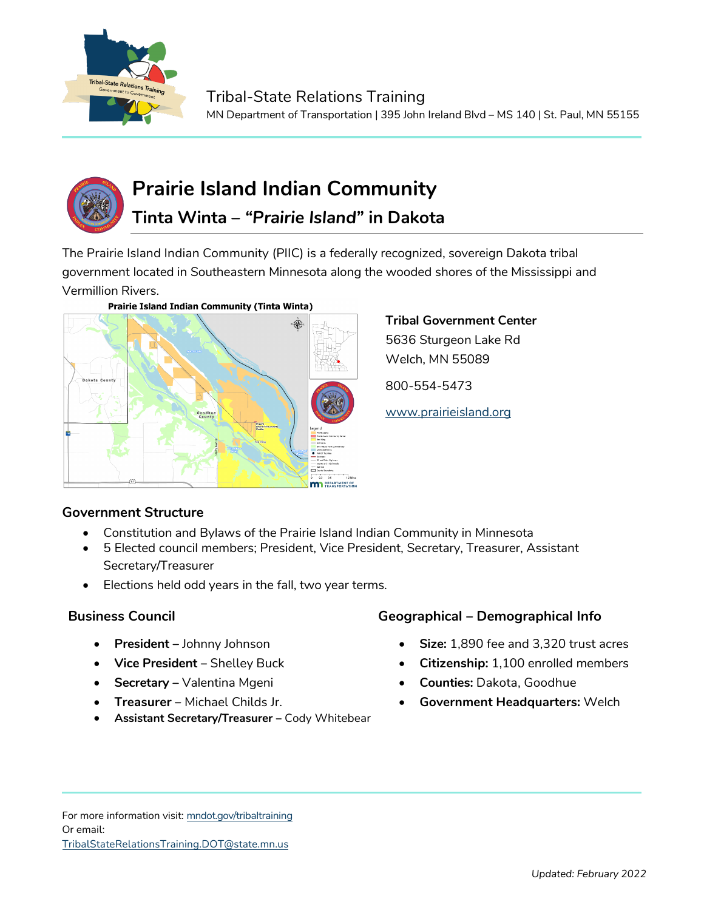



# **Prairie Island Indian Community**

# **Tinta Winta –** *"Prairie Island"* **in Dakota**

The Prairie Island Indian Community (PIIC) is a federally recognized, sovereign Dakota tribal government located in Southeastern Minnesota along the wooded shores of the Mississippi and Vermillion Rivers.



#### **Prairie Island Indian Community (Tinta Winta)**

## **Tribal Government Center** 5636 Sturgeon Lake Rd Welch, MN 55089

800-554-5473

[www.prairieisland.org](http://www.prairieisland.org/)

### **Government Structure**

- Constitution and Bylaws of the Prairie Island Indian Community in Minnesota
- 5 Elected council members; President, Vice President, Secretary, Treasurer, Assistant Secretary/Treasurer
- Elections held odd years in the fall, two year terms.

- **President –** Johnny Johnson
- **Vice President –** Shelley Buck
- **Secretary –** Valentina Mgeni
- **Treasurer –** Michael Childs Jr.
- **Assistant Secretary/Treasurer –** Cody Whitebear

### **Business Council Geographical – Demographical Info**

- **Size:** 1,890 fee and 3,320 trust acres
- **Citizenship:** 1,100 enrolled members
- **Counties:** Dakota, Goodhue
- **Government Headquarters:** Welch

For more information visit: mndot.gov/tribaltraining Or email: TribalStateRelationsTraining.DOT@state.mn.us